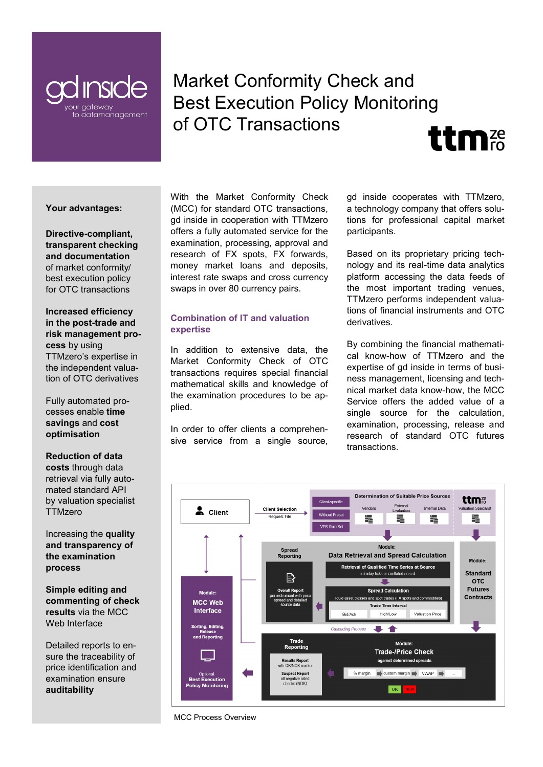

# Market Conformity Check and Best Execution Policy Monitoring of OTC Transactions **ttm**



**Directive-compliant, transparent checking and documentation** of market conformity/ best execution policy for OTC transactions

**Increased efficiency in the post-trade and risk management process** by using TTMzero's expertise in the independent valuation of OTC derivatives

Fully automated processes enable **time savings** and **cost optimisation**

#### **Reduction of data**

**costs** through data retrieval via fully automated standard API by valuation specialist **TTMzero** 

Increasing the **quality and transparency of the examination process**

**Simple editing and commenting of check results** via the MCC Web Interface

Detailed reports to ensure the traceability of price identification and examination ensure **auditability**

With the Market Conformity Check (MCC) for standard OTC transactions, gd inside in cooperation with TTMzero offers a fully automated service for the examination, processing, approval and research of FX spots, FX forwards, money market loans and deposits, interest rate swaps and cross currency swaps in over 80 currency pairs.

# **Combination of IT and valuation expertise**

In addition to extensive data, the Market Conformity Check of OTC transactions requires special financial mathematical skills and knowledge of the examination procedures to be applied.

In order to offer clients a comprehensive service from a single source, gd inside cooperates with TTMzero, a technology company that offers solutions for professional capital market participants.

Based on its proprietary pricing technology and its real-time data analytics platform accessing the data feeds of the most important trading venues, TTMzero performs independent valuations of financial instruments and OTC derivatives.

By combining the financial mathematical know-how of TTMzero and the expertise of gd inside in terms of business management, licensing and technical market data know-how, the MCC Service offers the added value of a single source for the calculation, examination, processing, release and research of standard OTC futures transactions.



MCC Process Overview